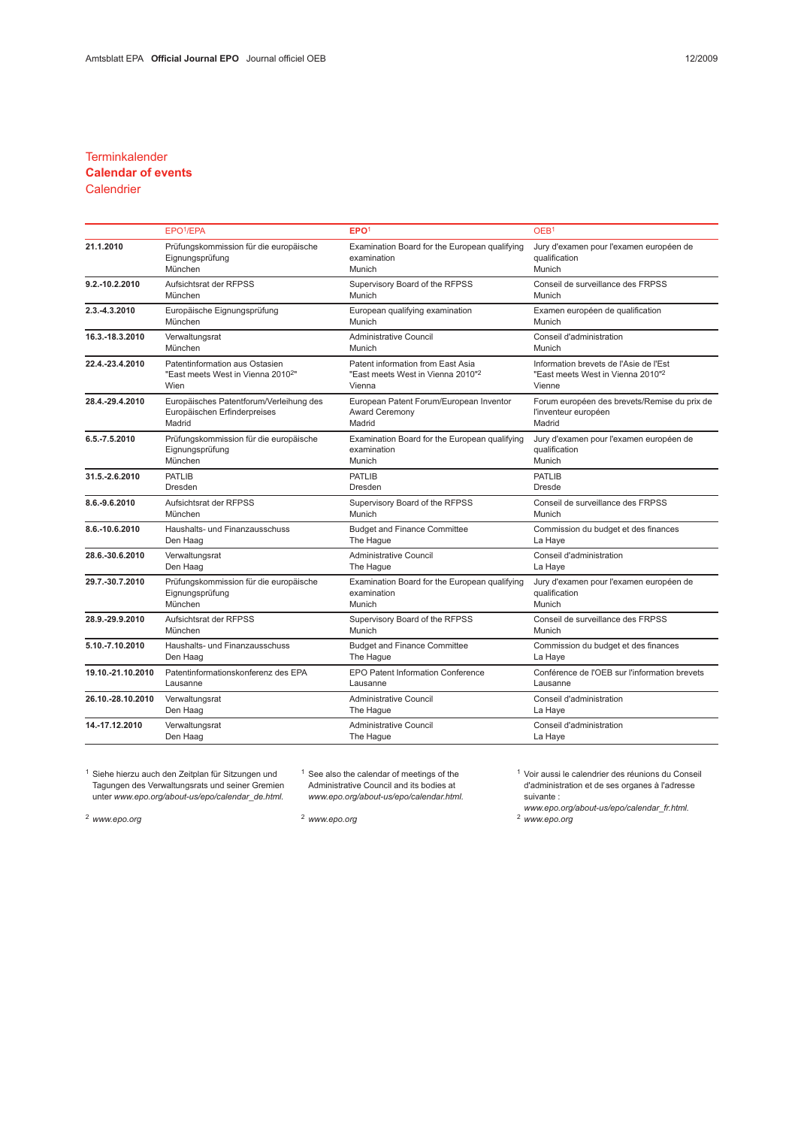### **Terminkalender**

# Calendar of events

## **Calendrier**

|                   | EPO <sup>1</sup> /EPA                          | EPO <sup>1</sup>                              | OEB <sup>1</sup>                              |  |
|-------------------|------------------------------------------------|-----------------------------------------------|-----------------------------------------------|--|
| 21.1.2010         | Prüfungskommission für die europäische         | Examination Board for the European qualifying | Jury d'examen pour l'examen européen de       |  |
|                   | Eignungsprüfung                                | examination                                   | qualification                                 |  |
|                   | München                                        | Munich                                        | Munich                                        |  |
| 9.2.-10.2.2010    | Aufsichtsrat der RFPSS                         | Supervisory Board of the RFPSS                | Conseil de surveillance des FRPSS             |  |
|                   | München                                        | Munich                                        | Munich                                        |  |
| 2.3.-4.3.2010     | Europäische Eignungsprüfung                    | European qualifying examination               | Examen européen de qualification              |  |
|                   | München                                        | Munich                                        | Munich                                        |  |
| 16.3.-18.3.2010   | Verwaltungsrat                                 | Administrative Council                        | Conseil d'administration                      |  |
|                   | München                                        | Munich                                        | Munich                                        |  |
| 22.4.-23.4.2010   | Patentinformation aus Ostasien                 | Patent information from East Asia             | Information brevets de l'Asie de l'Est        |  |
|                   | "East meets West in Vienna 2010 <sup>2</sup> " | "East meets West in Vienna 2010" <sup>2</sup> | "East meets West in Vienna 2010" <sup>2</sup> |  |
|                   | Wien                                           | Vienna                                        | Vienne                                        |  |
| 28.4.-29.4.2010   | Europäisches Patentforum/Verleihung des        | European Patent Forum/European Inventor       | Forum européen des brevets/Remise du prix de  |  |
|                   | Europäischen Erfinderpreises                   | <b>Award Ceremony</b>                         | l'inventeur européen                          |  |
|                   | Madrid                                         | Madrid                                        | Madrid                                        |  |
| 6.5.-7.5.2010     | Prüfungskommission für die europäische         | Examination Board for the European qualifying | Jury d'examen pour l'examen européen de       |  |
|                   | Eignungsprüfung                                | examination                                   | qualification                                 |  |
|                   | München                                        | Munich                                        | Munich                                        |  |
| 31.5.-2.6.2010    | <b>PATLIB</b>                                  | <b>PATLIB</b>                                 | <b>PATLIB</b>                                 |  |
|                   | Dresden                                        | Dresden                                       | <b>Dresde</b>                                 |  |
| 8.6.-9.6.2010     | Aufsichtsrat der RFPSS                         | Supervisory Board of the RFPSS                | Conseil de surveillance des FRPSS             |  |
|                   | München                                        | Munich                                        | Munich                                        |  |
| 8.6.-10.6.2010    | Haushalts- und Finanzausschuss                 | <b>Budget and Finance Committee</b>           | Commission du budget et des finances          |  |
|                   | Den Haag                                       | The Hague                                     | La Haye                                       |  |
| 28.6.-30.6.2010   | Verwaltungsrat                                 | Administrative Council                        | Conseil d'administration                      |  |
|                   | Den Haag                                       | The Hague                                     | La Haye                                       |  |
| 29.7.-30.7.2010   | Prüfungskommission für die europäische         | Examination Board for the European qualifying | Jury d'examen pour l'examen européen de       |  |
|                   | Eignungsprüfung                                | examination                                   | qualification                                 |  |
|                   | München                                        | Munich                                        | Munich                                        |  |
| 28.9.-29.9.2010   | Aufsichtsrat der RFPSS                         | Supervisory Board of the RFPSS                | Conseil de surveillance des FRPSS             |  |
|                   | München                                        | Munich                                        | Munich                                        |  |
| 5.10.-7.10.2010   | Haushalts- und Finanzausschuss                 | <b>Budget and Finance Committee</b>           | Commission du budget et des finances          |  |
|                   | Den Haag                                       | The Hague                                     | La Haye                                       |  |
| 19.10.-21.10.2010 | Patentinformationskonferenz des EPA            | <b>EPO Patent Information Conference</b>      | Conférence de l'OEB sur l'information brevets |  |
|                   | Lausanne                                       | Lausanne                                      | Lausanne                                      |  |
| 26.10.-28.10.2010 | Verwaltungsrat                                 | <b>Administrative Council</b>                 | Conseil d'administration                      |  |
|                   | Den Haag                                       | The Hague                                     | La Haye                                       |  |
| 14.-17.12.2010    | Verwaltungsrat                                 | <b>Administrative Council</b>                 | Conseil d'administration                      |  |
|                   | Den Haag                                       | The Hague                                     | La Haye                                       |  |

<sup>1</sup> Siehe hierzu auch den Zeitplan für Sitzungen und Tagungen des Verwaltungsrats und seiner Gremien unter www.epo.org/about-us/epo/calendar\_de.html.

<sup>1</sup> See also the calendar of meetings of the Administrative Council and its bodies at www.epo.org/about-us/epo/calendar.html. <sup>1</sup> Voir aussi le calendrier des réunions du Conseil d'administration et de ses organes à l'adresse suivante :

<sup>2</sup> www.epo.org <sup>2</sup> www.epo.org <sup>2</sup> www.epo.org

suivarie .<br>www.epo.org/about-us/epo/calendar\_fr.html.<br><sup>2</sup> www.epo.org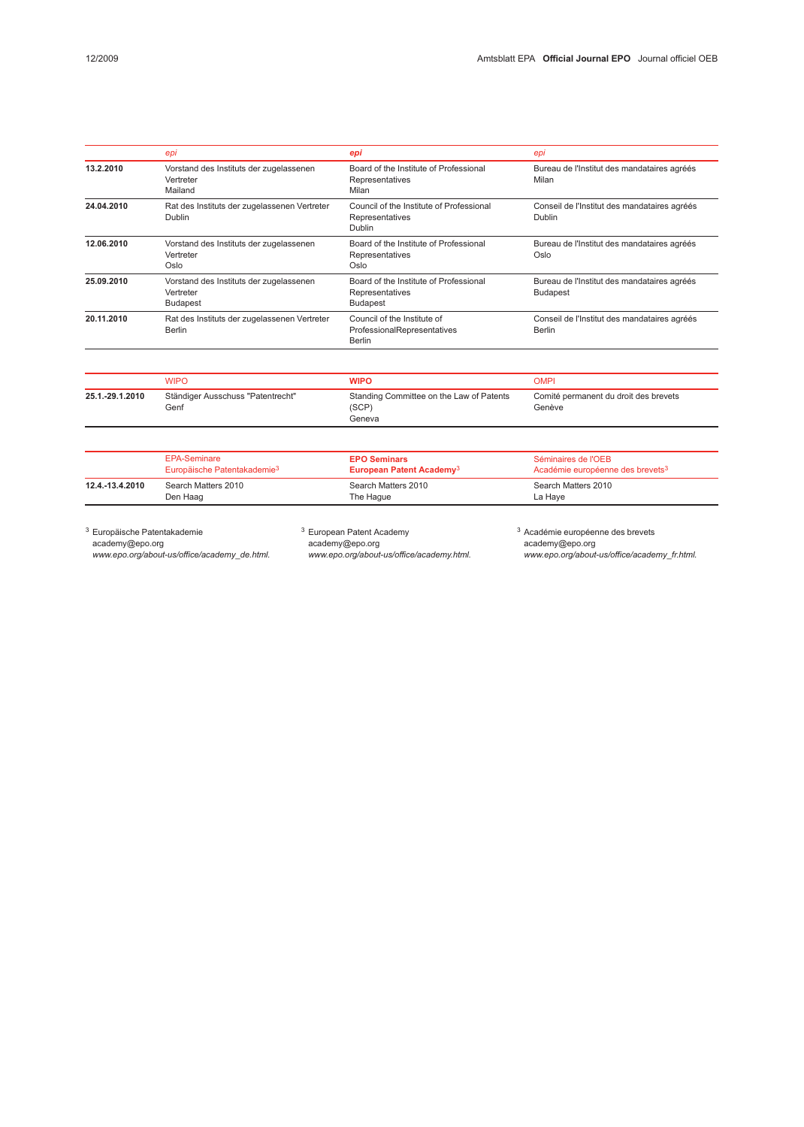|                 | epi                                                                     | epi                                                                          | epi                                                                 |  |
|-----------------|-------------------------------------------------------------------------|------------------------------------------------------------------------------|---------------------------------------------------------------------|--|
| 13.2.2010       | Vorstand des Instituts der zugelassenen<br>Vertreter<br>Mailand         | Board of the Institute of Professional<br>Representatives<br>Milan           | Bureau de l'Institut des mandataires agréés<br>Milan                |  |
| 24.04.2010      | Rat des Instituts der zugelassenen Vertreter<br>Dublin                  | Council of the Institute of Professional<br>Representatives<br>Dublin        | Conseil de l'Institut des mandataires agréés<br>Dublin              |  |
| 12.06.2010      | Vorstand des Instituts der zugelassenen<br>Vertreter<br>Oslo            | Board of the Institute of Professional<br>Representatives<br>Oslo            | Bureau de l'Institut des mandataires agréés<br>Oslo                 |  |
| 25.09.2010      | Vorstand des Instituts der zugelassenen<br>Vertreter<br><b>Budapest</b> | Board of the Institute of Professional<br>Representatives<br><b>Budapest</b> | Bureau de l'Institut des mandataires agréés<br><b>Budapest</b>      |  |
| 20.11.2010      | Rat des Instituts der zugelassenen Vertreter<br><b>Berlin</b>           | Council of the Institute of<br>ProfessionalRepresentatives<br><b>Berlin</b>  | Conseil de l'Institut des mandataires agréés<br><b>Berlin</b>       |  |
|                 | <b>WIPO</b>                                                             | <b>WIPO</b>                                                                  | <b>OMPI</b>                                                         |  |
| 25.1.-29.1.2010 | Ständiger Ausschuss "Patentrecht"<br>Genf                               | Standing Committee on the Law of Patents<br>(SCP)<br>Geneva                  | Comité permanent du droit des brevets<br>Genève                     |  |
|                 | <b>EPA-Seminare</b><br>Europäische Patentakademie <sup>3</sup>          | <b>EPO Seminars</b><br>European Patent Academy <sup>3</sup>                  | Séminaires de l'OEB<br>Académie européenne des brevets <sup>3</sup> |  |
| 12.4.-13.4.2010 | Search Matters 2010<br>Den Haag                                         | Search Matters 2010<br>The Hague                                             | Search Matters 2010<br>La Haye                                      |  |

<sup>3</sup> Europäische Patentakademie

academy@epo.org www.epo.org/about-us/office/academy\_de.html. <sup>3</sup> European Patent Academy academy@epo.org www.epo.org/about-us/office/academy.html. <sup>3</sup> Académie européenne des brevets academy@epo.org www.epo.org/about-us/office/academy\_fr.html.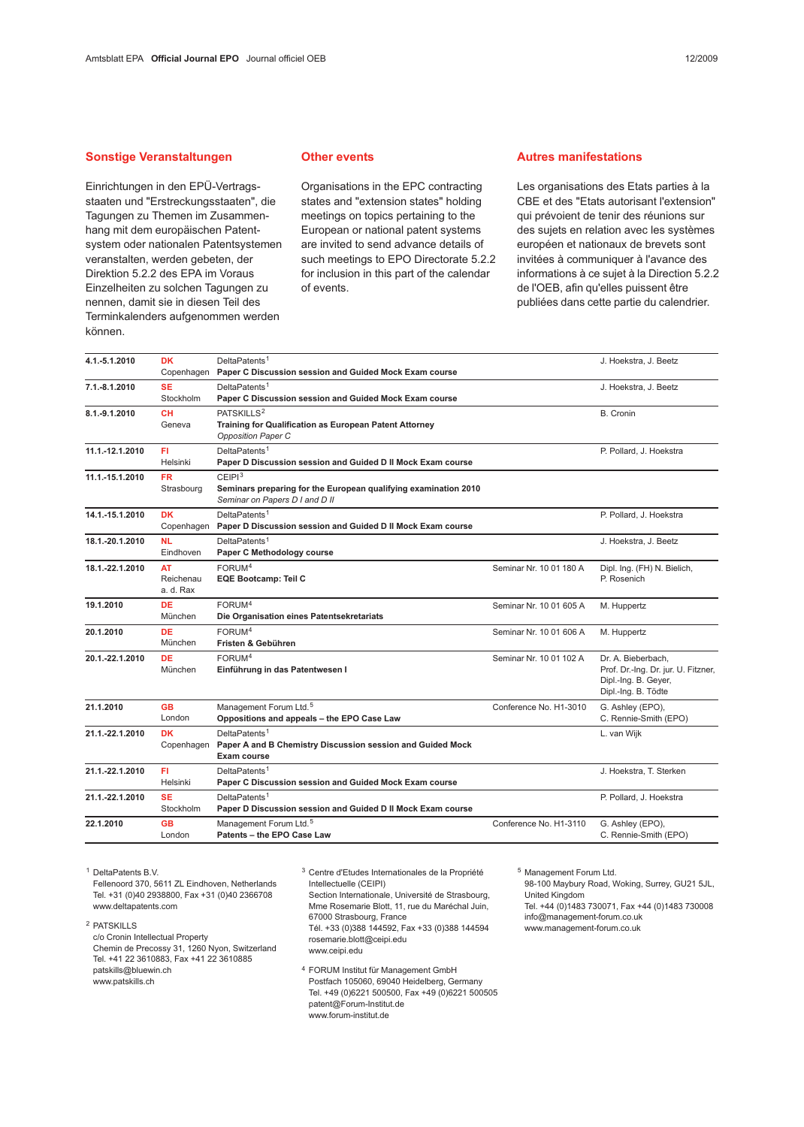#### Sonstige Veranstaltungen

Einrichtungen in den EPÜ-Vertragsstaaten und "Erstreckungsstaaten", die Tagungen zu Themen im Zusammenhang mit dem europäischen Patentsystem oder nationalen Patentsystemen veranstalten, werden gebeten, der Direktion 5.2.2 des EPA im Voraus Einzelheiten zu solchen Tagungen zu nennen, damit sie in diesen Teil des Terminkalenders aufgenommen werden können.

#### Other events

Organisations in the EPC contracting states and "extension states" holding meetings on topics pertaining to the European or national patent systems are invited to send advance details of such meetings to EPO Directorate 5.2.2 for inclusion in this part of the calendar of events.

#### Autres manifestations

Les organisations des Etats parties à la CBE et des "Etats autorisant l'extension" qui prévoient de tenir des réunions sur des sujets en relation avec les systèmes européen et nationaux de brevets sont invitées à communiquer à l'avance des informations à ce sujet à la Direction 5.2.2 de l'OEB, afin qu'elles puissent être publiées dans cette partie du calendrier.

| <b>DK</b>                           | DeltaPatents <sup>1</sup><br>Paper C Discussion session and Guided Mock Exam course                                     |                          | J. Hoekstra, J. Beetz                                                                                    |
|-------------------------------------|-------------------------------------------------------------------------------------------------------------------------|--------------------------|----------------------------------------------------------------------------------------------------------|
| <b>SE</b><br>Stockholm              | DeltaPatents <sup>1</sup><br>Paper C Discussion session and Guided Mock Exam course                                     |                          | J. Hoekstra, J. Beetz                                                                                    |
| <b>CH</b><br>Geneva                 | PATSKILLS <sup>2</sup><br>Training for Qualification as European Patent Attorney<br><b>Opposition Paper C</b>           |                          | <b>B.</b> Cronin                                                                                         |
| FI<br>Helsinki                      | DeltaPatents <sup>1</sup><br>Paper D Discussion session and Guided D II Mock Exam course                                |                          | P. Pollard, J. Hoekstra                                                                                  |
| <b>FR</b><br>Strasbourg             | CEIP1 <sup>3</sup><br>Seminars preparing for the European qualifying examination 2010<br>Seminar on Papers D I and D II |                          |                                                                                                          |
| <b>DK</b>                           | DeltaPatents <sup>1</sup><br>Paper D Discussion session and Guided D II Mock Exam course                                |                          | P. Pollard, J. Hoekstra                                                                                  |
| <b>NL</b><br>Eindhoven              | DeltaPatents <sup>1</sup><br>Paper C Methodology course                                                                 |                          | J. Hoekstra, J. Beetz                                                                                    |
| <b>AT</b><br>Reichenau<br>a. d. Rax | FORUM <sup>4</sup><br><b>EQE Bootcamp: Teil C</b>                                                                       | Seminar Nr. 10 01 180 A  | Dipl. Ing. (FH) N. Bielich,<br>P. Rosenich                                                               |
| <b>DE</b><br>München                | FORUM <sup>4</sup><br>Die Organisation eines Patentsekretariats                                                         | Seminar Nr. 10 01 605 A  | M. Huppertz                                                                                              |
| <b>DE</b><br>München                | FORUM <sup>4</sup><br>Fristen & Gebühren                                                                                | Seminar Nr. 10 01 606 A  | M. Huppertz                                                                                              |
| <b>DE</b><br>München                | FORUM <sup>4</sup><br>Einführung in das Patentwesen I                                                                   | Seminar Nr. 10 01 102 A  | Dr. A. Bieberbach,<br>Prof. Dr.-Ing. Dr. jur. U. Fitzner,<br>Dipl.-Ing. B. Geyer,<br>Dipl.-Ing. B. Tödte |
| <b>GB</b><br>London                 | Management Forum Ltd. <sup>5</sup><br>Oppositions and appeals - the EPO Case Law                                        | Conference No. H1-3010   | G. Ashley (EPO),<br>C. Rennie-Smith (EPO)                                                                |
| <b>DK</b><br>Copenhagen             | DeltaPatents <sup>1</sup><br>Paper A and B Chemistry Discussion session and Guided Mock<br>Exam course                  |                          | L. van Wijk                                                                                              |
| FI.<br>Helsinki                     | DeltaPatents <sup>1</sup><br>Paper C Discussion session and Guided Mock Exam course                                     |                          | J. Hoekstra, T. Sterken                                                                                  |
| <b>SE</b><br>Stockholm              | DeltaPatents <sup>1</sup><br>Paper D Discussion session and Guided D II Mock Exam course                                |                          | P. Pollard, J. Hoekstra                                                                                  |
|                                     |                                                                                                                         |                          |                                                                                                          |
|                                     |                                                                                                                         | Copenhagen<br>Copenhagen |                                                                                                          |

<sup>1</sup> DeltaPatents B.V.

Fellenoord 370, 5611 ZL Eindhoven, Netherlands Tel. +31 (0)40 2938800, Fax +31 (0)40 2366708 www.deltapatents.com

<sup>2</sup> PATSKILLS

c/o Cronin Intellectual Property Chemin de Precossy 31, 1260 Nyon, Switzerland Tel. +41 22 3610883, Fax +41 22 3610885 patskills@bluewin.ch www.patskills.ch

<sup>3</sup> Centre d'Etudes Internationales de la Propriété Intellectuelle (CEIPI) Section Internationale, Université de Strasbourg, Mme Rosemarie Blott, 11, rue du Maréchal Juin, 67000 Strasbourg, France Tél. +33 (0)388 144592, Fax +33 (0)388 144594 rosemarie.blott@ceipi.edu www.ceipi.edu

<sup>4</sup> FORUM Institut für Management GmbH Postfach 105060, 69040 Heidelberg, Germany Tel. +49 (0)6221 500500, Fax +49 (0)6221 500505 patent@Forum-Institut.de www.forum-institut.de

<sup>5</sup> Management Forum Ltd. 98-100 Maybury Road, Woking, Surrey, GU21 5JL, United Kingdom Tel. +44 (0)1483 730071, Fax +44 (0)1483 730008 info@management-forum.co.uk www.management-forum.co.uk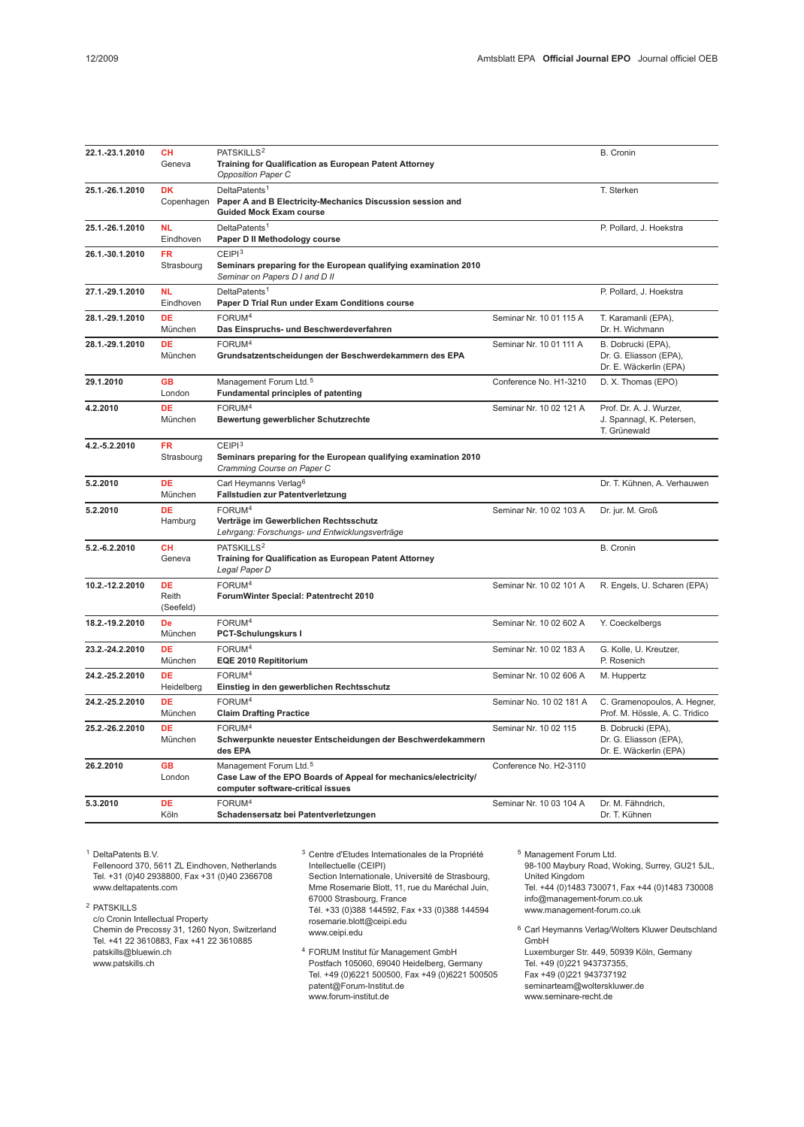| 22.1.-23.1.2010 | <b>CH</b><br>Geneva             | PATSKILLS <sup>2</sup><br>Training for Qualification as European Patent Attorney<br><b>Opposition Paper C</b>                              |                         | B. Cronin                                                              |
|-----------------|---------------------------------|--------------------------------------------------------------------------------------------------------------------------------------------|-------------------------|------------------------------------------------------------------------|
| 25.1.-26.1.2010 | <b>DK</b><br>Copenhagen         | DeltaPatents <sup>1</sup><br>Paper A and B Electricity-Mechanics Discussion session and<br><b>Guided Mock Exam course</b>                  |                         | T. Sterken                                                             |
| 25.1.-26.1.2010 | <b>NL</b><br>Eindhoven          | DeltaPatents <sup>1</sup><br>Paper D II Methodology course                                                                                 |                         | P. Pollard, J. Hoekstra                                                |
| 26.1.-30.1.2010 | <b>FR</b><br>Strasbourg         | CEIPI <sup>3</sup><br>Seminars preparing for the European qualifying examination 2010<br>Seminar on Papers D I and D II                    |                         |                                                                        |
| 27.1.-29.1.2010 | <b>NL</b><br>Eindhoven          | DeltaPatents <sup>1</sup><br>Paper D Trial Run under Exam Conditions course                                                                |                         | P. Pollard, J. Hoekstra                                                |
| 28.1.-29.1.2010 | DE<br>München                   | FORUM <sup>4</sup><br>Das Einspruchs- und Beschwerdeverfahren                                                                              | Seminar Nr. 10 01 115 A | T. Karamanli (EPA),<br>Dr. H. Wichmann                                 |
| 28.1.-29.1.2010 | DE<br>München                   | FORUM <sup>4</sup><br>Grundsatzentscheidungen der Beschwerdekammern des EPA                                                                | Seminar Nr. 10 01 111 A | B. Dobrucki (EPA),<br>Dr. G. Eliasson (EPA),<br>Dr. E. Wäckerlin (EPA) |
| 29.1.2010       | <b>GB</b><br>London             | Management Forum Ltd. <sup>5</sup><br><b>Fundamental principles of patenting</b>                                                           | Conference No. H1-3210  | D. X. Thomas (EPO)                                                     |
| 4.2.2010        | DE<br>München                   | FORUM <sup>4</sup><br>Bewertung gewerblicher Schutzrechte                                                                                  | Seminar Nr. 10 02 121 A | Prof. Dr. A. J. Wurzer,<br>J. Spannagl, K. Petersen,<br>T. Grünewald   |
| 4.2.-5.2.2010   | <b>FR</b><br>Strasbourg         | CEIP1 <sup>3</sup><br>Seminars preparing for the European qualifying examination 2010<br>Cramming Course on Paper C                        |                         |                                                                        |
| 5.2.2010        | <b>DE</b><br>München            | Carl Heymanns Verlag <sup>6</sup><br>Fallstudien zur Patentverletzung                                                                      |                         | Dr. T. Kühnen, A. Verhauwen                                            |
| 5.2.2010        | DE<br>Hamburg                   | FORUM <sup>4</sup><br>Verträge im Gewerblichen Rechtsschutz<br>Lehrgang: Forschungs- und Entwicklungsverträge                              | Seminar Nr. 10 02 103 A | Dr. jur. M. Groß                                                       |
| 5.2.-6.2.2010   | <b>CH</b><br>Geneva             | PATSKILLS <sup>2</sup><br>Training for Qualification as European Patent Attorney<br>Legal Paper D                                          |                         | B. Cronin                                                              |
| 10.2.-12.2.2010 | <b>DE</b><br>Reith<br>(Seefeld) | FORUM <sup>4</sup><br>ForumWinter Special: Patentrecht 2010                                                                                | Seminar Nr. 10 02 101 A | R. Engels, U. Scharen (EPA)                                            |
| 18.2.-19.2.2010 | De<br>München                   | FORUM <sup>4</sup><br>PCT-Schulungskurs I                                                                                                  | Seminar Nr. 10 02 602 A | Y. Coeckelbergs                                                        |
| 23.2.-24.2.2010 | DE<br>München                   | FORUM <sup>4</sup><br>EQE 2010 Repititorium                                                                                                | Seminar Nr. 10 02 183 A | G. Kolle, U. Kreutzer,<br>P. Rosenich                                  |
| 24.2.-25.2.2010 | DE<br>Heidelberg                | FORUM <sup>4</sup><br>Einstieg in den gewerblichen Rechtsschutz                                                                            | Seminar Nr. 10 02 606 A | M. Huppertz                                                            |
| 24.2.-25.2.2010 | <b>DE</b><br>München            | FORUM <sup>4</sup><br><b>Claim Drafting Practice</b>                                                                                       | Seminar No. 10 02 181 A | C. Gramenopoulos, A. Hegner,<br>Prof. M. Hössle, A. C. Tridico         |
| 25.2.-26.2.2010 | DE<br>München                   | FORUM <sup>4</sup><br>Schwerpunkte neuester Entscheidungen der Beschwerdekammern<br>des EPA                                                | Seminar Nr. 10 02 115   | B. Dobrucki (EPA),<br>Dr. G. Eliasson (EPA),<br>Dr. E. Wäckerlin (EPA) |
| 26.2.2010       | <b>GB</b><br>London             | Management Forum Ltd. <sup>5</sup><br>Case Law of the EPO Boards of Appeal for mechanics/electricity/<br>computer software-critical issues | Conference No. H2-3110  |                                                                        |
| 5.3.2010        | <b>DE</b><br>Köln               | FORUM <sup>4</sup><br>Schadensersatz bei Patentverletzungen                                                                                | Seminar Nr. 10 03 104 A | Dr. M. Fähndrich,<br>Dr. T. Kühnen                                     |

<sup>1</sup> DeltaPatents B.V.

Fellenoord 370, 5611 ZL Eindhoven, Netherlands Tel. +31 (0)40 2938800, Fax +31 (0)40 2366708 www.deltapatents.com

<sup>2</sup> PATSKILLS

c/o Cronin Intellectual Property Chemin de Precossy 31, 1260 Nyon, Switzerland Tel. +41 22 3610883, Fax +41 22 3610885 patskills@bluewin.ch www.patskills.ch

<sup>3</sup> Centre d'Etudes Internationales de la Propriété Intellectuelle (CEIPI)

Section Internationale, Université de Strasbourg, Mme Rosemarie Blott, 11, rue du Maréchal Juin, 67000 Strasbourg, France Tél. +33 (0)388 144592, Fax +33 (0)388 144594

rosemarie.blott@ceipi.edu www.ceipi.edu

<sup>4</sup> FORUM Institut für Management GmbH Postfach 105060, 69040 Heidelberg, Germany Tel. +49 (0)6221 500500, Fax +49 (0)6221 500505 patent@Forum-Institut.de www.forum-institut.de

<sup>5</sup> Management Forum Ltd. 98-100 Maybury Road, Woking, Surrey, GU21 5JL, United Kingdom Tel. +44 (0)1483 730071, Fax +44 (0)1483 730008 info@management-forum.co.uk www.management-forum.co.uk

<sup>6</sup> Carl Heymanns Verlag/Wolters Kluwer Deutschland GmbH Luxemburger Str. 449, 50939 Köln, Germany Tel. +49 (0)221 943737355, Fax +49 (0)221 943737192 seminarteam@wolterskluwer.de www.seminare-recht.de